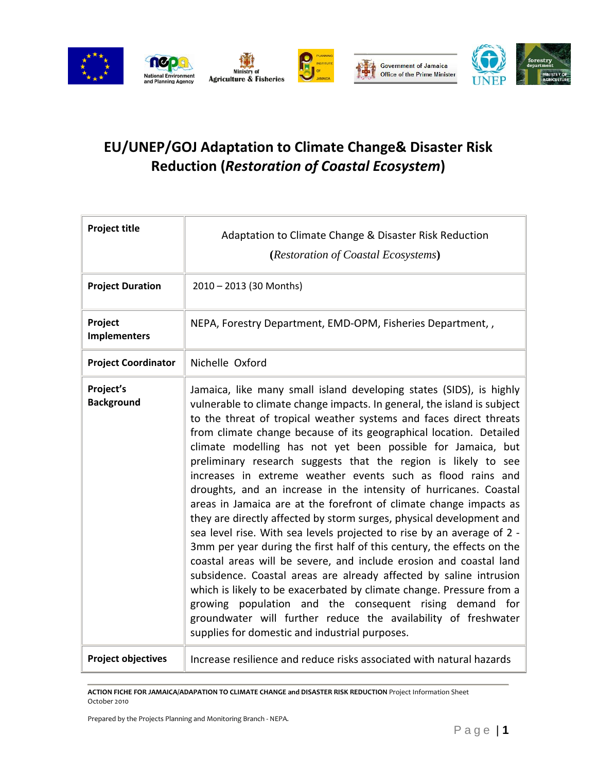

## **EU/UNEP/GOJ Adaptation to Climate Change& Disaster Risk Reduction (***Restoration of Coastal Ecosystem***)**

| <b>Project title</b>           | Adaptation to Climate Change & Disaster Risk Reduction<br>(Restoration of Coastal Ecosystems)                                                                                                                                                                                                                                                                                                                                                                                                                                                                                                                                                                                                                                                                                                                                                                                                                                                                                                                                                                                                                                                                                                                                                                         |
|--------------------------------|-----------------------------------------------------------------------------------------------------------------------------------------------------------------------------------------------------------------------------------------------------------------------------------------------------------------------------------------------------------------------------------------------------------------------------------------------------------------------------------------------------------------------------------------------------------------------------------------------------------------------------------------------------------------------------------------------------------------------------------------------------------------------------------------------------------------------------------------------------------------------------------------------------------------------------------------------------------------------------------------------------------------------------------------------------------------------------------------------------------------------------------------------------------------------------------------------------------------------------------------------------------------------|
| <b>Project Duration</b>        | 2010 - 2013 (30 Months)                                                                                                                                                                                                                                                                                                                                                                                                                                                                                                                                                                                                                                                                                                                                                                                                                                                                                                                                                                                                                                                                                                                                                                                                                                               |
| Project<br><b>Implementers</b> | NEPA, Forestry Department, EMD-OPM, Fisheries Department,,                                                                                                                                                                                                                                                                                                                                                                                                                                                                                                                                                                                                                                                                                                                                                                                                                                                                                                                                                                                                                                                                                                                                                                                                            |
| <b>Project Coordinator</b>     | Nichelle Oxford                                                                                                                                                                                                                                                                                                                                                                                                                                                                                                                                                                                                                                                                                                                                                                                                                                                                                                                                                                                                                                                                                                                                                                                                                                                       |
| Project's<br><b>Background</b> | Jamaica, like many small island developing states (SIDS), is highly<br>vulnerable to climate change impacts. In general, the island is subject<br>to the threat of tropical weather systems and faces direct threats<br>from climate change because of its geographical location. Detailed<br>climate modelling has not yet been possible for Jamaica, but<br>preliminary research suggests that the region is likely to see<br>increases in extreme weather events such as flood rains and<br>droughts, and an increase in the intensity of hurricanes. Coastal<br>areas in Jamaica are at the forefront of climate change impacts as<br>they are directly affected by storm surges, physical development and<br>sea level rise. With sea levels projected to rise by an average of 2 -<br>3mm per year during the first half of this century, the effects on the<br>coastal areas will be severe, and include erosion and coastal land<br>subsidence. Coastal areas are already affected by saline intrusion<br>which is likely to be exacerbated by climate change. Pressure from a<br>growing population and the consequent rising demand for<br>groundwater will further reduce the availability of freshwater<br>supplies for domestic and industrial purposes. |
| <b>Project objectives</b>      | Increase resilience and reduce risks associated with natural hazards                                                                                                                                                                                                                                                                                                                                                                                                                                                                                                                                                                                                                                                                                                                                                                                                                                                                                                                                                                                                                                                                                                                                                                                                  |

**ACTION FICHE FOR JAMAICA/ADAPATION TO CLIMATE CHANGE and DISASTER RISK REDUCTION** Project Information Sheet October 2010